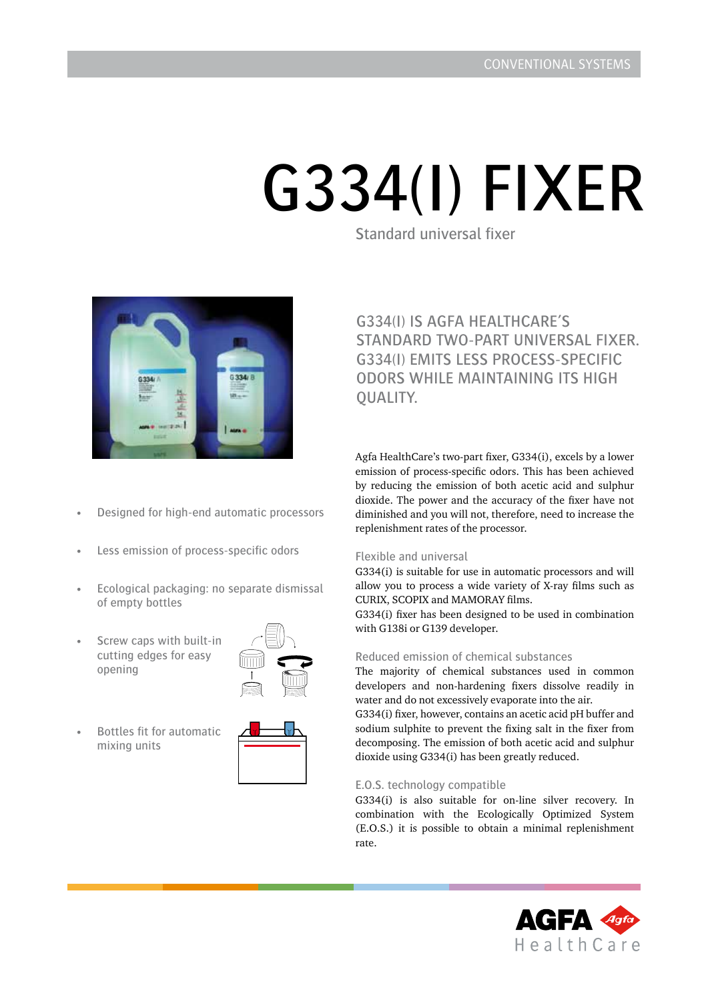# G334(I) FIXER

Standard universal fixer



G334(i) is Agfa HEALTHCARE's standard two-part universal fixer. G334(i) emits less process-specific odors while maintaining its high OUALITY.

Agfa HealthCare's two-part fixer, G334(i), excels by a lower emission of process-specific odors. This has been achieved

- by reducing the emission of both acetic acid and sulphur dioxide. The power and the accuracy of the fixer have not diminished and you will not, therefore, need to increase the
	- Flexible and universal

replenishment rates of the processor.

G334(i) is suitable for use in automatic processors and will allow you to process a wide variety of X-ray films such as CURIX, SCOPIX and MAMORAY films.

G334(i) fixer has been designed to be used in combination with G138i or G139 developer.

## Reduced emission of chemical substances

The majority of chemical substances used in common developers and non-hardening fixers dissolve readily in water and do not excessively evaporate into the air.

G334(i) fixer, however, contains an acetic acid pH buffer and sodium sulphite to prevent the fixing salt in the fixer from decomposing. The emission of both acetic acid and sulphur dioxide using G334(i) has been greatly reduced.

## E.O.S. technology compatible

G334(i) is also suitable for on-line silver recovery. In combination with the Ecologically Optimized System (E.O.S.) it is possible to obtain a minimal replenishment rate.



- Designed for high-end automatic processors
- Less emission of process-specific odors
- Ecological packaging: no separate dismissal of empty bottles
- Screw caps with built-in cutting edges for easy opening



• Bottles fit for automatic mixing units